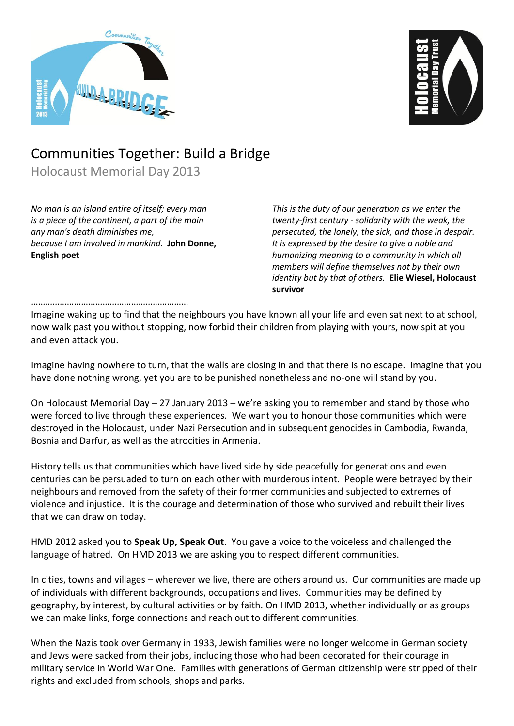



## Communities Together: Build a Bridge

Holocaust Memorial Day 2013

*No man is an island entire of itself; every man is a piece of the continent, a part of the main any man's death diminishes me, because I am involved in mankind.* **John Donne, English poet**

*This is the duty of our generation as we enter the twenty-first century - solidarity with the weak, the persecuted, the lonely, the sick, and those in despair. It is expressed by the desire to give a noble and humanizing meaning to a community in which all members will define themselves not by their own identity but by that of others.* **Elie Wiesel, Holocaust survivor**

## …………………………………………………………

Imagine waking up to find that the neighbours you have known all your life and even sat next to at school, now walk past you without stopping, now forbid their children from playing with yours, now spit at you and even attack you.

Imagine having nowhere to turn, that the walls are closing in and that there is no escape. Imagine that you have done nothing wrong, yet you are to be punished nonetheless and no-one will stand by you.

On Holocaust Memorial Day – 27 January 2013 – we're asking you to remember and stand by those who were forced to live through these experiences. We want you to honour those communities which were destroyed in the Holocaust, under Nazi Persecution and in subsequent genocides in Cambodia, Rwanda, Bosnia and Darfur, as well as the atrocities in Armenia.

History tells us that communities which have lived side by side peacefully for generations and even centuries can be persuaded to turn on each other with murderous intent. People were betrayed by their neighbours and removed from the safety of their former communities and subjected to extremes of violence and injustice. It is the courage and determination of those who survived and rebuilt their lives that we can draw on today.

HMD 2012 asked you to **Speak Up, Speak Out**. You gave a voice to the voiceless and challenged the language of hatred. On HMD 2013 we are asking you to respect different communities.

In cities, towns and villages – wherever we live, there are others around us. Our communities are made up of individuals with different backgrounds, occupations and lives. Communities may be defined by geography, by interest, by cultural activities or by faith. On HMD 2013, whether individually or as groups we can make links, forge connections and reach out to different communities.

When the Nazis took over Germany in 1933, Jewish families were no longer welcome in German society and Jews were sacked from their jobs, including those who had been decorated for their courage in military service in World War One. Families with generations of German citizenship were stripped of their rights and excluded from schools, shops and parks.